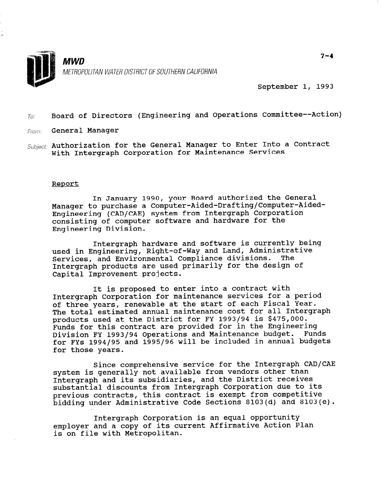

September 1, 1993

# $T_{0}$ : Board of Directors (Engineering and Operations Committee--Action)

- From: General Manager
- Subject: Authorization for the General Manager to Enter Into a Contract With Intergraph Corporation for Maintenance Services

### Report

In January 1990, your Board authorized the General Manager to purchase a Computer-Aided-Drafting/Computer-Aided-Engineering (CAD/CAE) system from Intergraph Corporation consisting of computer software and hardware for the Engineering Division.

Intergraph hardware and software is currently being used in Engineering, Right-of-Way and Land, Administrative Services, and Environmental Compliance divisions. The Intergraph products are used primarily for the design of Capital Improvement projects.

It is proposed to enter into a contract with Intergraph Corporation for maintenance services for a period of three years, renewable at the start of each Fiscal Year. The total estimated annual maintenance cost for all Intergraph products used at the District for FY 1993/94 is \$475,000. Funds for this contract are provided for in the Engineering Division FY 1993/94 Operations and Maintenance budget. Funds for FYs 1994/95 and 1995/96 will be included in annual budgets for those years.

Since comprehensive service for the Intergraph CAD/CAE system is generally not available from vendors other than Intergraph and its subsidiaries, and the District receives substantial discounts from Intergraph Corporation due to its previous contracts, this contract is exempt from competitive bidding under Administrative Code Sections 8103(d) and 8103(e).

Intergraph Corporation is an equal opportunity employer and a copy of its current Affirmative Action Plan is on file with Metropolitan.